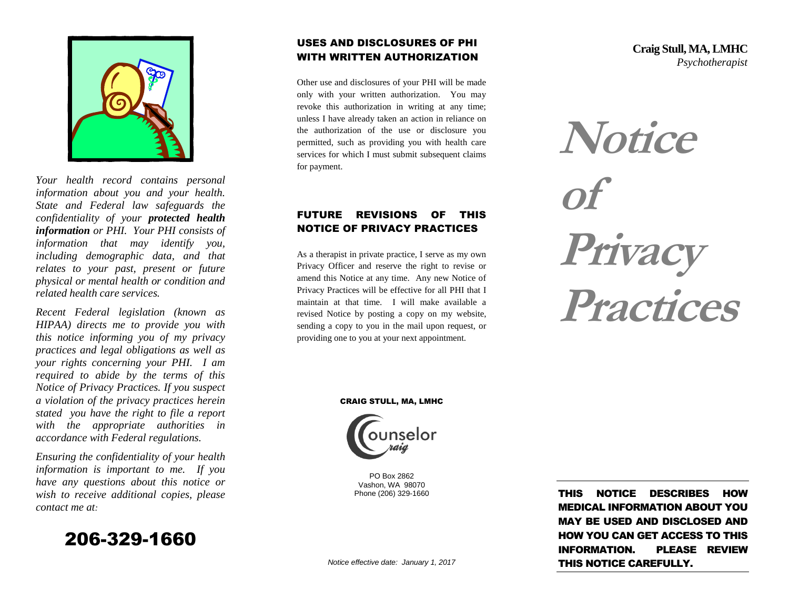

*Your health record contains personal information about you and your health. State and Federal law safeguards the confidentiality of your protected health information or PHI. Your PHI consists of information that may identify you, including demographic data, and that relates to your past, present or future physical or mental health or condition and related health care services.* 

*Recent Federal legislation (known as HIPAA) directs me to provide you with this notice informing you of my privacy practices and legal obligations as well as your rights concerning your PHI. I am required to abide by the terms of this Notice of Privacy Practices. If you suspect a violation of the privacy practices herein stated you have the right to file a report with the appropriate authorities in accordance with Federal regulations.*

*Ensuring the confidentiality of your health information is important to me. If you have any questions about this notice or wish to receive additional copies, please contact me at:*



### USES AND DISCLOSURES OF PHI WITH WRITTEN AUTHORIZATION

Other use and disclosures of your PHI will be made only with your written authorization. You may revoke this authorization in writing at any time; unless I have already taken an action in reliance on the authorization of the use or disclosure you permitted, such as providing you with health care services for which I must submit subsequent claims for payment.

### FUTURE REVISIONS OF THIS NOTICE OF PRIVACY PRACTICES

As a therapist in private practice, I serve as my own Privacy Officer and reserve the right to revise or amend this Notice at any time. Any new Notice of Privacy Practices will be effective for all PHI that I maintain at that time. I will make available a revised Notice by posting a copy on my website, sending a copy to you in the mail upon request, or providing one to you at your next appointment.

**Craig Stull, MA, LMHC** *Psychotherapist*



CRAIG STULL, MA, LMHC



PO Box 2862 Vashon, WA 98070 Phone (206) 329-1660

THIS NOTICE DESCRIBES HOW MEDICAL INFORMATION ABOUT YOU MAY BE USED AND DISCLOSED AND HOW YOU CAN GET ACCESS TO THIS INFORMATION. PLEASE REVIEW THIS NOTICE CAREFULLY.

*Notice effective date: January 1, 2017*